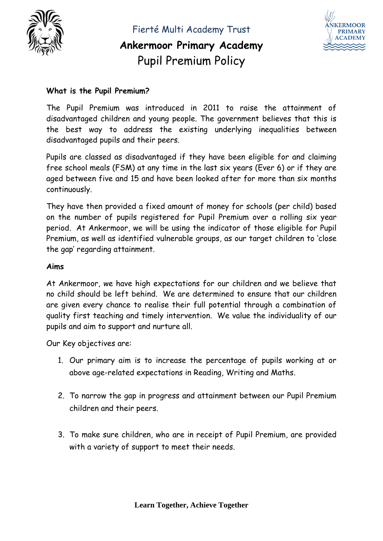

Fierté Multi Academy Trust **Ankermoor Primary Academy**

Pupil Premium Policy



#### **What is the Pupil Premium?**

The Pupil Premium was introduced in 2011 to raise the attainment of disadvantaged children and young people. The government believes that this is the best way to address the existing underlying inequalities between disadvantaged pupils and their peers.

Pupils are classed as disadvantaged if they have been eligible for and claiming free school meals (FSM) at any time in the last six years (Ever 6) or if they are aged between five and 15 and have been looked after for more than six months continuously.

They have then provided a fixed amount of money for schools (per child) based on the number of pupils registered for Pupil Premium over a rolling six year period. At Ankermoor, we will be using the indicator of those eligible for Pupil Premium, as well as identified vulnerable groups, as our target children to 'close the gap' regarding attainment.

#### **Aims**

At Ankermoor, we have high expectations for our children and we believe that no child should be left behind. We are determined to ensure that our children are given every chance to realise their full potential through a combination of quality first teaching and timely intervention. We value the individuality of our pupils and aim to support and nurture all.

Our Key objectives are:

- 1. Our primary aim is to increase the percentage of pupils working at or above age-related expectations in Reading, Writing and Maths.
- 2. To narrow the gap in progress and attainment between our Pupil Premium children and their peers.
- 3. To make sure children, who are in receipt of Pupil Premium, are provided with a variety of support to meet their needs.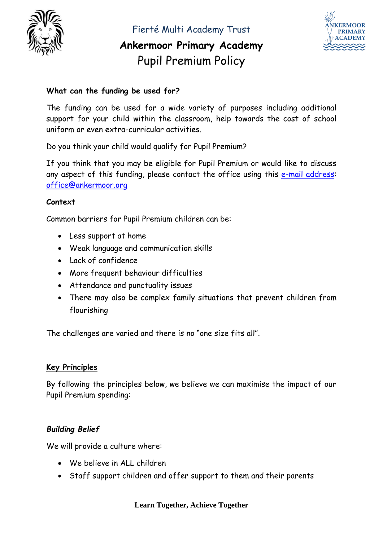

Fierté Multi Academy Trust

# **Ankermoor Primary Academy** Pupil Premium Policy



### **What can the funding be used for?**

The funding can be used for a wide variety of purposes including additional support for your child within the classroom, help towards the cost of school uniform or even extra-curricular activities.

Do you think your child would qualify for Pupil Premium?

If you think that you may be eligible for Pupil Premium or would like to discuss any aspect of this funding, please contact the office using this [e-mail address:](mailto:e-mail%20address) office@ankermoor.org

### **Context**

Common barriers for Pupil Premium children can be:

- Less support at home
- Weak language and communication skills
- Lack of confidence
- More frequent behaviour difficulties
- Attendance and punctuality issues
- There may also be complex family situations that prevent children from flourishing

The challenges are varied and there is no "one size fits all".

### **Key Principles**

By following the principles below, we believe we can maximise the impact of our Pupil Premium spending:

## *Building Belief*

We will provide a culture where:

- We believe in ALL children
- Staff support children and offer support to them and their parents

#### **Learn Together, Achieve Together**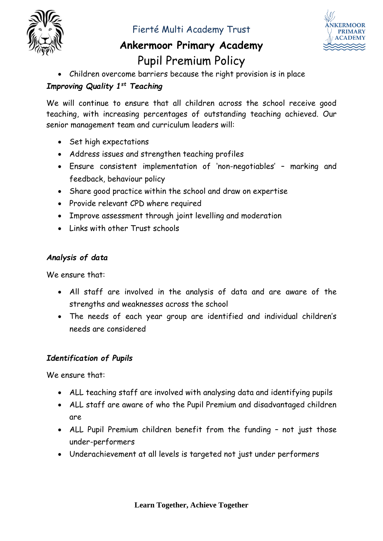

Fierté Multi Academy Trust

# **Ankermoor Primary Academy** Pupil Premium Policy



• Children overcome barriers because the right provision is in place

## *Improving Quality 1st Teaching*

We will continue to ensure that all children across the school receive good teaching, with increasing percentages of outstanding teaching achieved. Our senior management team and curriculum leaders will:

- Set high expectations
- Address issues and strengthen teaching profiles
- Ensure consistent implementation of 'non-negotiables' marking and feedback, behaviour policy
- Share good practice within the school and draw on expertise
- Provide relevant CPD where required
- Improve assessment through joint levelling and moderation
- Links with other Trust schools

### *Analysis of data*

We ensure that:

- All staff are involved in the analysis of data and are aware of the strengths and weaknesses across the school
- The needs of each year group are identified and individual children's needs are considered

### *Identification of Pupils*

We ensure that:

- ALL teaching staff are involved with analysing data and identifying pupils
- ALL staff are aware of who the Pupil Premium and disadvantaged children are
- ALL Pupil Premium children benefit from the funding not just those under-performers
- Underachievement at all levels is targeted not just under performers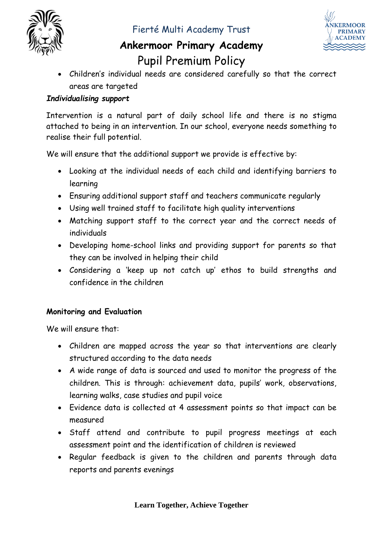

# **Ankermoor Primary Academy** Pupil Premium Policy



• Children's individual needs are considered carefully so that the correct areas are targeted

### *Individualising support*

Intervention is a natural part of daily school life and there is no stigma attached to being in an intervention. In our school, everyone needs something to realise their full potential.

We will ensure that the additional support we provide is effective by:

- Looking at the individual needs of each child and identifying barriers to learning
- Ensuring additional support staff and teachers communicate regularly
- Using well trained staff to facilitate high quality interventions
- Matching support staff to the correct year and the correct needs of individuals
- Developing home-school links and providing support for parents so that they can be involved in helping their child
- Considering a 'keep up not catch up' ethos to build strengths and confidence in the children

## **Monitoring and Evaluation**

We will ensure that:

- Children are mapped across the year so that interventions are clearly structured according to the data needs
- A wide range of data is sourced and used to monitor the progress of the children. This is through: achievement data, pupils' work, observations, learning walks, case studies and pupil voice
- Evidence data is collected at 4 assessment points so that impact can be measured
- Staff attend and contribute to pupil progress meetings at each assessment point and the identification of children is reviewed
- Regular feedback is given to the children and parents through data reports and parents evenings